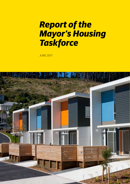# *Report of the Mayor's Housing Taskforce*

JUNE 2017

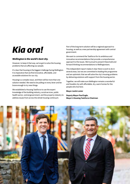# *Kia ora!*

### *Wellington is the world's best city.*

However, to keep it that way, we've got to solve the housing problems that are affecting our people.

It's clear that housing is the biggest challenge facing Wellington. It is imperative that we find innovative, affordable, and accessible solutions for our city.

Housing is a complex issue, and there will be more than one solution needed. We need to be pulling on every lever and be brave enough to try new things.

We established a Housing Taskforce to use the expert knowledge of the building industry, social services, public health sector, central government, and the property industry to address issues from across the whole housing continuum.

Part of the long-term solution will be a regional approach to housing, as well as a new partnership agreement with central government.

We want to commend the Taskforce for its ambitious and innovative recommendations that provide a comprehensive approach to the issues. We're proud to present these bold and forward thinking recommendations to Wellingtonians.

This independent report makes it clear there is work to do in several areas, but we are committed to leading this programme and are optimistic that we will solve the city's housing problems by delivering solutions with support from the housing sector.

Together, we will make sure Wellington remains a wonderful and liveable city with affordable, dry, warm homes for the people who live here.

#### **Mayor Justin Lester**

**Deputy Mayor Paul Eagle, Mayor's Housing Taskforce Chairman** 

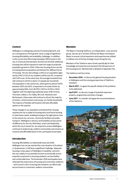## *Context*

Wellington is undergoing a period of sustained growth, and as a consequence of this growth, faces a range of significant housing affordability and availability challenges. In addition to the current shortfall of approximately 3900 homes in the city, it is forecast that between 20,000 and 30,000 additional housing units will be required to meet the range of projected population growth to 2043. Other key housing drivers are the increasing diverse population and demand for different forms of housing. The city will undergo a shift as our population ages and by 2043 13.5% of city residents will be over 65, compared with 9.6% now. At the same time, the average household size will continue to shrink to about 2.5 people per household. The population in the central city, which grew by almost 100% between 2001 and 2013, is expected to increase further by approximately 84%, from 18,019 in 2013 to 33,150 in 2043. Together with the adjoining residential areas of Mt Victoria, Thorndon, Kelburn, Aro Valley, Mt Cook, Newtown and Berhampore, these areas will continue to attract the majority of renters, rental investors and young, non-family households. The majority of families will however still seek affordable options in the suburbs.

These changes in our population and demand for housing requires the city to adapt its housing stock and future housing to meet these needs, enabling housing in the right places close to the central city, services, community facilities and public transport. Wellington's vibrancy and liveability are key points of difference for the city. Bold ideas, action and leadership, which the city is known for, are required to ensure Wellington continues to build strong, resilient communities and remains an inclusive and affordable place to live, participate and prosper.

#### *Introduction*

Housing affordability is a nationwide issue and while Wellington has not yet reached the crisis situation of Auckland or Queenstown, it still faces a significant challenge. Adequate housing is a key aspect of Wellington's liveability, central to the city's ability to successfully function economically and an essential component in ensuring residents can live healthy and comfortable lives. The November 2016 earthquakes have reiterated the importance of housing and community resilience – and Council's role in ensuring that residents can afford safe, secure homes in connected, resilient communities.

#### *Mandate*

The Mayor's Housing Taskforce, an independent, cross sectoral group, was set up in October 2016 by the Mayor and Deputy Mayor to ensure critical experience and expertise was utilised to address one of the key strategic issues facing the city.

Members of the Taskforce were chosen specifically for their knowledge and expertise and represent the full spectrum of the housing sector. Membership is detailed at Appendix One.

The Taskforce met four times:

- **December 2016 to discuss the general housing situation** in Wellington and the varying perspectives of Taskforce members.
- **March 2017 to agree the specific details of the problems** to be addressed.
- **April 2017 to discuss a range of potential responses** projects, programmes and policy changes.
- **June 2017 to consider and agree the recommendations** of the Taskforce**.**

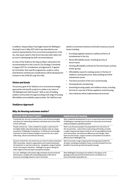In addition, Deputy Mayor Paul Eagle hosted the Wellington Housing Forum in May 2017 which was attended by over seventy representatives from across the housing sector in the city. Key issues raised in that forum have also been taken into account in developing the draft recommendations.

As Chair of the Taskforce the Deputy Mayor will present the recommendations to the Council's City Strategy Committee in August 2017 for consideration and agreement. If agreed by Committee, then specific programmes, projects, policy amendments and financial considerations will be developed for inclusion in the 2018-28 Long Term Plan.

## *Vision and Goals*

The primary goal of the Taskforce is to recommend strategic approaches and specific projects to realise a city vision of "All Wellingtonians Well Housed". With an aim of building resilient communities through providing a full range of housing affordability and availability opportunities, the Taskforce was

## asked to recommend solutions and build consensus around issues including:

- • Providing targeted solutions to address all forms of homelessness in the city.
- • Rental affordability issues, including security of tenure issues.
- • Housing affordability schemes for first time buyers and key worker groups.
- • Affordability issues for existing owners in the face of resilience, earthquake prone, leaky building and other maintenance issues.
- The future provision of the city's social housing.
- Housing density and planning.
- • Examining housing quality and resilience issues, including the trial of a warrant of fitness applied to rental housing.
- • How initiatives will be implemented and actioned.

# *Taskforce Approach*

## *Why do Housing outcomes matter?*

| <b>Towards 2040: Smart Capital</b>                                                                                                                                                                                                                                                                                                                    | <b>Implications for housing</b>                                                                                                                                                                                                                                                                                                                                                            |
|-------------------------------------------------------------------------------------------------------------------------------------------------------------------------------------------------------------------------------------------------------------------------------------------------------------------------------------------------------|--------------------------------------------------------------------------------------------------------------------------------------------------------------------------------------------------------------------------------------------------------------------------------------------------------------------------------------------------------------------------------------------|
| Connected City: the city's compact form is one of its key strengths<br>and allows for relationships between individuals and communities<br>to form with ease.                                                                                                                                                                                         | Want residential development to occur in ways that protect the best<br>of Wellington's existing natural, built and community environments<br>while providing for population growth.                                                                                                                                                                                                        |
| People-centred city: Cities compete for people, in particular for<br>the highly skilled, educated people who already make up a large<br>proportion of Wellington's population. It will become increasingly<br>important to build on these strengths to ensure the city is open,<br>welcoming, vibrant and embraces diversity.                         | Want a city that puts people's housing needs front and centre of<br>the city priorities - a place that is welcoming and friendly, provides<br>a range of appropriate opportunities for all, strong neighbourhoods<br>and communities, and embraces differences and changes. Want<br>lower income earners, support workers and students to be able to<br>afford to live in Wellington City. |
| Dynamic Central City: the central city as a hub of creative enterprise.<br>With universities, research organisations and creative businesses<br>all clustered in or near the central city - alongside a range of related<br>service and support industries - Wellington can grow, taking the<br>wider region to the next step in prosperity and jobs. | Want to provide a range of appropriate housing opportunities for<br>all needs, including providing for those currently excluded from the<br>benefits of economic growth and quality housing.                                                                                                                                                                                               |
| Eco-city -Wellington will achieve high standards of environmental<br>performance, coupled with outstanding quality of life and an<br>economy increasingly based on smart innovation.                                                                                                                                                                  | Want Wellington's housing to be resilient to the rigours of its<br>geological and natural environments and to contribute to an<br>environmentally sustainable city.                                                                                                                                                                                                                        |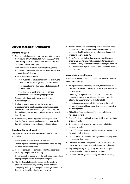# *Demand and Supply – Critical Issues*

#### **Demand will grow**

- 1. Due to population growth forecast population growth, from around 210,000 today to between 250,000 and 280,000 by 2043. They will require between 20,000 30,000 additional housing units.
- 2. From key workers attracted by Wellington's growing economy and population who want to live in rather than commute into Wellington.
- 3. For smaller residential units:
	- From students, as education institutions continue to be successful in attracting students from elsewhere.
	- From graduates and other young adults at the start of their careers.
	- • From changes to family and household living arrangements linked to an aging population.
- 4. For more affordable rental housing and home ownership options.
- 5. For better quality housing from rising consumer expectations and regulatory requirements, increased demand for more environmentally friendly homes, and for dwellings more resilient to seismic and other natural hazard risks.
- 6. For emergency and/or supported housing and social housing from a growing number of persons and families facing housing and social exclusion and deprivation.

#### **Supply will be constrained**

Supply recently has not matched demand, which in turn means that:

- 1. Housing affordability overall is deteriorating
- 2. There is a particular shortage of affordable rental housing for lower income households.
- 3. House sales have been constrained, limiting options and increasing competition for housing.
- 4. Housing supply is unable to comfortably absorb the inflows of people migrating and moving to Wellington.
- 5. The shortage of affordable housing is in turn putting pressure on social housing creating a need for more emergency housing while long term housing solutions are found for vulnerable individuals and families.
- 6. There is increased over-crowding, with some of the most vulnerable families living in poor quality housing which impacts on health and wellbeing, reducing resilience and impacting on employability.
- 7. Some families are finding themselves trapped in a cycle of continually deteriorating living circumstances as rents increase, security of tenure becomes increasingly uncertain and access to employment, education and other services becomes harder.

#### **Constraints to be addressed**

A number of related issues constrain and/or add to the cost of new housing supply:

- 1. No agency has statutory responsibility (and the resources that go with this responsibility) for leadership in addressing homelessness.
- 2. Delays in joint regional and nationally funded transport projects necessary to unlock green field and brown field sites for development (Grenada-Petone link).
- 3. Impediments or commercial disincentives on the small number of owners of large green field sites to release sites for development.
- 4. Difficulties of aggregating land for larger scale brown field development.
- 5. Costs of building on difficult sites, eg in-fill on back sections, or steep hillsides .
- 6. Time taken to gain resource consents and/or building consents at scale.
- 7. Costs of meeting regulatory and/or consumer requirements for quality and resilience.
- 8. Labour, skill and other input shortages which may impact on construction timeframes.
- 9. Developer and investor expectations to achieve a certain rate of return on investment, and to optimise cashflows.
- 10. Any other planning or regulatory obstacles or delays to development including heritage protections.
- 11. Other risks faced by developers, eg insurance, financing .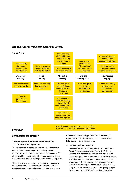## *Key objectives of Wellington's housing strategy?*



## *Formulating the strategy*

## **Three key pillars for Council to deliver on the Taskforce housing objectives**

The Taskforce believes that success is most likely to occur where the issues of housing are collectively addressed, therefore a collective impact approach is recommended. The objective of this initiative would be to lead and co-ordinate the housing solutions for Wellington which involves all parties.

The Council is in a position where it can provide leadership on this issue and has a number of critical roles which can catalyse change across the housing continuum and provide the environment for change. The Taskforce encourages the Council to take a strong leadership role based on the following three key strategic planks:

#### 1. **Leadership within the sector**

Develop a Wellington Housing Strategy and associated Action Plan, to adopt and give effect to the Taskforce vision of "All Wellingtonians Well Housed", to define all parties' interpretation of what housing affordability means in Wellington and to clearly articulate the Council's role in, and approach to, increasing housing supply across all aspects of the housing continuum, with specific projects, programmes, incentives, investments and policy changes to be included in the 2018-28 Council Long Term Plan.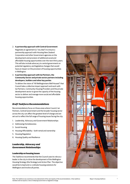#### 2. **A partnership approach with Central Government**

Negotiate an agreement (a "city deal") to ensure a partnership approach with Housing New Zealand Corporation and other Government agencies on the development and provision of additional social and affordable housing opportunities over the next thirty years. This will also include advocacy to central government on potential regulatory and legislative changes that would have an impact on the provision of housing opportunities in Wellington.

#### 3. **A partnership approach with Iwi Partners, the Community Sector and private sector partners including developers, builders and other key parties**

To deliver the vision of "All Wellingtonians Well Housed" that Council take a collective impact approach and work with Iwi Partners, Community Housing Providers and the private development sector to grow the capacity of the housing sector to deliver and manage more social and affordable housing opportunities.

## *Draft Taskforce Recommendations*

Recommendations focus on those areas where Council, Iwi Partners, Central Government and the broader housing sector across the city can affect the greatest level of change and are set out to reflect the full range of housing issues facing the city:

- 1. Leadership, Advocacy and Government Relationships
- 2. Addressing Homelessness
- 3. Social Housing
- 4. Housing Affordability both rental and ownership
- 5. Housing Regulation
- 6. Housing Quality and Resilience

# *Leadership, Advocacy and Government Relationships*

#### **Leadership on housing issues**

The Taskforce recommends that the Council uses its role as a leader in the city to drive the development of the Wellington Housing Strategy (the Strategy) and Action Plan. The objective would be to lead and co-ordinate housing solutions for Wellington and involve all parties.



Note: The Taskforce was unanimous in its endorsement of the vast majority of the recommendations. A few taskforce members did not express a view on lobbying Government on legislative change.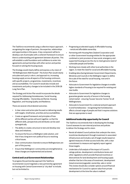The Taskforce recommends using a collective impact approach, recognising the range of partners, the expertise, relationships and opportunities in this space. A key component will be to develop a set of principles with a coherent framework to ensure there is understanding and agreement between all parties. This will establish a solid foundation and confidence to enter into agreements and partnerships with other sectors and parties focused on solving the housing issues.

The Strategy would clearly define and express a city vision of "All Wellingtonians Well Housed". The Action Plan would clearly articulate each party's role in, and approach to, increasing housing supply across all aspects of the housing continuum, with specific projects, programmes, investments, incentives and accountabilities. For Council it would also include and investments and policy changes to be included in the 2018-28 Long Term Plan.

The Strategy and Action Plan would incorporate the details required for Addressing Homelessness, Social Housing, Housing Affordability – Ownership and Rental, Housing Regulation, and Housing Quality and Resilience.

There are several critical desired outcomes:

- A clear vision and action plan focused on delivering results with targets, timeframes, priorities and accountabilities.
- Create an agreed framework and principles of how all the different parties will work together, so that the different skills, perspectives and attributes can be used synergistically.
- The ability to create a structure to test and develop new ideas and initiatives.
- To ensure the focus is a Wellington wide solution, and that it has a long term non-political focus to resolving critical issues.
- • Clear communication channels to ensure Wellingtonians are part of this journey.
- Ensure that Wellingtons' communities are strengthened as these changes are implemented and actioned.

#### **Central and Local Government Relationships**

To progress the partnership approach the Taskforce recommends Council negotiate a new partnership agreement on housing with Central Government (a "city deal" to include, but not be limited to:

- Progressing accelerated supply of affordable housing – rental and affordable ownership.
- Partnering with Housing New Zealand Corporation and/ or other Government housing entities for the appropriate combined or joint provision of new social, emergency and supported housing across the city to meet genuine need of vulnerable people and families.
- • Working more closely with other local authorities in the region, to meet the need for social and affordable housing.
- • Enabling data sharing between Government Departments, Ministries and Councils in the Wellington region to define the scale of the need for social housing, now and in the future.
- Advocate to Government for legislative changes to enable higher standards of housing to be required for existing and new builds.
- Advocate to Government for legislative changes to guarantee greater security of tenure in the housing rental market – ensuring 'houses' become 'homes' for all Wellingtonians.
- Advocate to Government for a national and joint approach to end homelessness – recognising that homelessness affects a broad range of people and that it requires solutions that are appropriate to need.

#### **Additional leadership opportunity for Council**

The Taskforce recommends that in developing the Strategy Council assesses its own internal practices and policies to deliver the Strategy and its vision.

- Revisit all related Council policies that underpin the vision, incentivise development through investment in associated infrastructure and include a set of target results based on agreed measures of what success looks like, with a clear commitment to measure and regularly report against those targets.
- • Undertake a full analysis of the impact of Council's ratings policies, development contributions levies and other regulations which provide financial incentives or disincentives for land development and housing supply whether that be in the areas of investment, development (new/conversion/upgrade), ownership, sale or rental. This review should also consider options around financial mechanisms for Council to capture value from private development at the time the value is realised.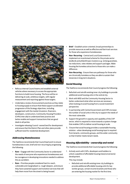

- Refocus internal Council teams and establish external vehicles where necessary to access the appropriate functions to build more housing. The focus will be on delivering at scale, ambitious targets, with regular measurement and reporting against those targets.
- Undertake a review of procurement practices as they relate to housing supply to ensure that these support accelerated progression of the Strategy objectives, including engagement with the market (investors, financiers, developers, constructors, Community Housing Providers (CHPs) inter alia) to understand best practice and better enable and support transactions that are good deals to all parties.
- Investigate releasing Council -owned land for development and ensure that the District Plan and other plans provide sufficient land for residential development.

## *Addressing Homelessness*

The Taskforce recommends that Council lead work to ensure homelessness is rare, brief and non-recurring by progressing the following:

- Rare Engage with the Community Sector to understand the needs of everyone who experiences homelessness and be courageous in developing innovations needed to address this as a problem.
- Rare Prioritise people considered hard-to-reach, vulnerable and marginalised i.e. rough sleepers, and ensure they have sustained support and transition services that will help them move from the street to being housed.
- **Brief** Establish action-oriented, broad partnerships to provide resources as well as effective and fast-track services for those who experience homelessness.
- Non-Recurring Central and Local Government to implement an incentivised scheme for the private sector landlords and philanthropic investors e.g. rental guarantees, tax reductions, rates rebates and support packages. Make housing the homeless attractive to those who can make a difference.
- **Non-Recurring** Ensure there are pathways for those who are chronically homeless so they are able to sustain their tenancies in long-term situations.

# *Social Housing*

The Taskforce recommends that Council progress the following:

- 1. Refurbish and retrofit existing inner city buildings to provide additional social housing units in the central city.
- 2. Work with MSD and the Community Housing Sector to better understand what other services are necessary when looking at social housing from a social investment perspective.
- 3. In partnership with Central Government and CHPs increase the number of social units in the city to support the needs of the most vulnerable.
- 4. Support the growth in capacity and capability of the CHP sector, which is required to move towards a system change that enables CHPs to deliver social housing at scale.
- 5. Ensure that social housing provides a sustainable housing solution – when developing social housing input is required from tenants, community groups, and the wider community so that it better meets tenant needs.

# *Housing Affordability – ownership and rental*

The Taskforce recommends that Council progress the following:

1. Actively work with CHPs, developers and builders to unlock a pipeline of affordable housing (new/conversions) development.

#### This may include:

Refurbish and retrofit existing inner city buildings to provide additional affordable housing units for key worker groups, certain income brackets and those who are entering the housing market for the first time.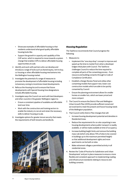- • Showcase examples of affordable housing so that residents understand what good quality affordable housing looks like.
- • Support the growth in capacity and capability of the CHP sector, which is required to move towards a system change that enables CHPs to deliver affordable housing opportunities at scale.
- 2. Identify and work with partners who can develop and introduce a range of tools such as shared equity, rent to buy, co-housing or other affordable housing mechanisms into the Wellington housing market.
- 3. Investigate the potential of a range of measures to promote the development of affordable housing including inclusionary zoning to incentivise mixed developments.
- 4. Refocus the Housing Accord to ensure that future developments with Special Housing Area designations include affordable housing.
- 5. Investigate ways the Council can work with land developers and other councils in the greater Wellington region to:
	- Ensure a consistent pipeline of available and affordable land over time.
	- • Work with the construction and training sectors to enable the industry to recruit and retain the necessary skills to deliver housing at scale.
- 6. Investigate options for greater tenure security that meets the requirements of both tenants and landlords.



## *Housing Regulation*

The Taskforce recommends that Council progress the following:

- 1. Measures to:
	- Implement the "one stop shop" concept to improve and speed up the time to market from when a developer lodges initial plans with Council. The Taskforce challenges Council to reduce the time required to complete all parts of the consenting process – from resource and building consents through to Code of Compliance Certification.
	- • Establish a Design Review Panel and utilise other consenting models that support new, lower cost construction models which are able to be quickly consented by Council.
	- Ensure the planning environment allows for smaller homes on smaller lots, which are lower priced and more compact.
- 2. The Council to ensure the District Plan and Wellington Urban Growth Plan (2015) provide sufficient zoned and serviced land to meet the present and future housing needs of the Wellington population.
- 3. That Council notify District Plan changes that will:
	- • Increase housing development potential and densities in Residential Areas.
	- Reduce the requirements for on-site carparking in new housing developments where public transport is readily available, or will be made available at time of occupancy.
	- Increase building height limits and remove the building mass rule (which only allows 75% of sites to be covered in buildings up to the maximum permitted height) so that additional development rights and more apartments can be built on sites.
	- Make retirement villages a permitted activity in all residential zones.
- 4. Review the 'Code of Practice for Subdivision and Urban Development' and put in place measures to ensure a more flexible and consistent approach to implementing roading and infrastructure standards relating to resource and building consents.